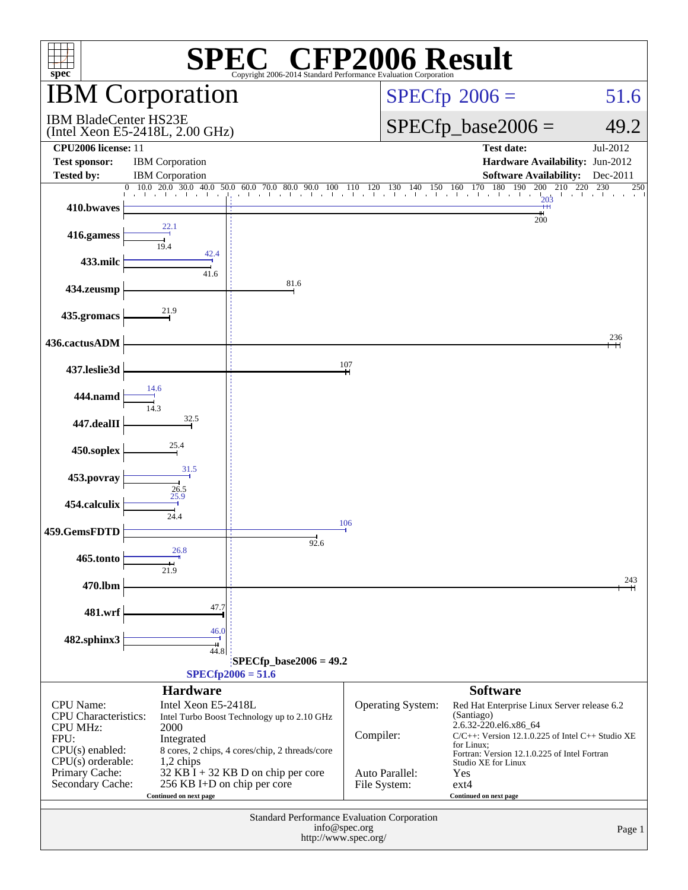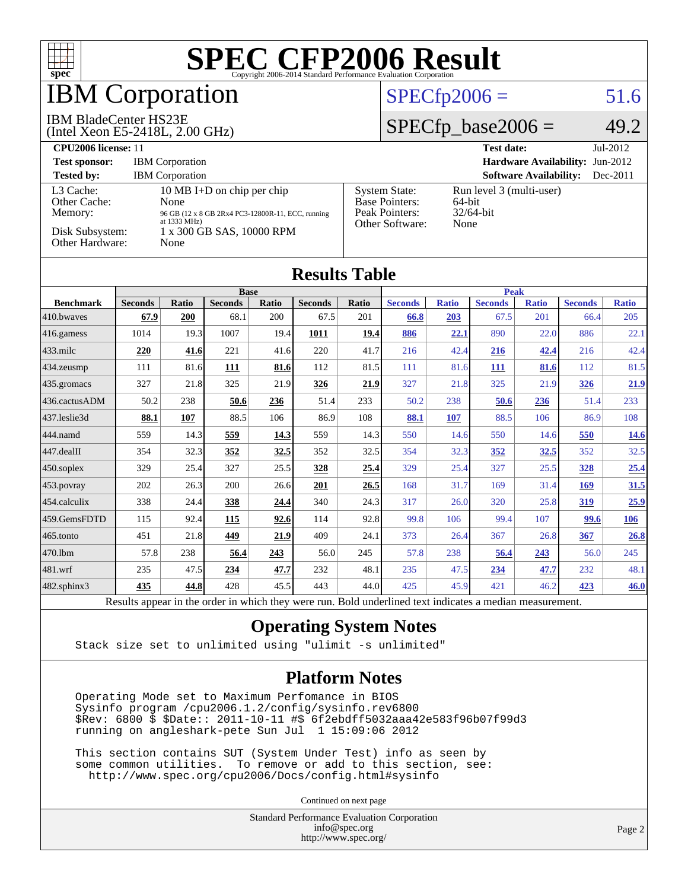

### **BM Corporation**

#### IBM BladeCenter HS23E

(Intel Xeon E5-2418L, 2.00 GHz)

#### $SPECfp2006 = 51.6$  $SPECfp2006 = 51.6$

#### $SPECfp\_base2006 = 49.2$

| <b>CPU2006 license: 11</b>                                                        |                                                                                                                                                         |                                                                                    | $Jul-2012$<br><b>Test date:</b>                               |
|-----------------------------------------------------------------------------------|---------------------------------------------------------------------------------------------------------------------------------------------------------|------------------------------------------------------------------------------------|---------------------------------------------------------------|
| <b>Test sponsor:</b>                                                              | <b>IBM</b> Corporation                                                                                                                                  | <b>Hardware Availability: Jun-2012</b>                                             |                                                               |
| <b>Tested by:</b>                                                                 | <b>IBM</b> Corporation                                                                                                                                  |                                                                                    | <b>Software Availability:</b><br>$Dec-2011$                   |
| L3 Cache:<br>Other Cache:<br>Memory:<br>Disk Subsystem:<br><b>Other Hardware:</b> | 10 MB I+D on chip per chip<br>None<br>96 GB (12 x 8 GB 2Rx4 PC3-12800R-11, ECC, running<br>at $1333 \text{ MHz}$ )<br>1 x 300 GB SAS, 10000 RPM<br>None | <b>System State:</b><br><b>Base Pointers:</b><br>Peak Pointers:<br>Other Software: | Run level 3 (multi-user)<br>$64$ -bit<br>$32/64$ -bit<br>None |

| <b>Results Table</b> |                |                                            |                |         |                |              |                        |                             |                |              |                |              |
|----------------------|----------------|--------------------------------------------|----------------|---------|----------------|--------------|------------------------|-----------------------------|----------------|--------------|----------------|--------------|
|                      | <b>Base</b>    |                                            |                |         |                | <b>Peak</b>  |                        |                             |                |              |                |              |
| <b>Benchmark</b>     | <b>Seconds</b> | <b>Ratio</b>                               | <b>Seconds</b> | Ratio   | <b>Seconds</b> | <b>Ratio</b> | <b>Seconds</b>         | <b>Ratio</b>                | <b>Seconds</b> | <b>Ratio</b> | <b>Seconds</b> | <b>Ratio</b> |
| 410.bwayes           | 67.9           | <b>200</b>                                 | 68.1           | 200     | 67.5           | 201          | 66.8                   | 203                         | 67.5           | 201          | 66.4           | 205          |
| 416.gamess           | 1014           | 19.3                                       | 1007           | 19.4    | 1011           | 19.4         | 886                    | <u>22.1</u>                 | 890            | 22.0         | 886            | 22.1         |
| $433$ .milc          | 220            | 41.6                                       | 221            | 41.6    | 220            | 41.7         | 216                    | 42.4                        | 216            | 42.4         | 216            | 42.4         |
| $434$ . zeusmp       | 111            | 81.6                                       | <b>111</b>     | 81.6    | 112            | 81.5         | 111                    | 81.6                        | 111            | 81.6         | 112            | 81.5         |
| $435$ .gromacs       | 327            | 21.8                                       | 325            | 21.9    | 326            | 21.9         | 327                    | 21.8                        | 325            | 21.9         | <u>326</u>     | 21.9         |
| 436.cactusADM        | 50.2           | 238                                        | 50.6           | 236     | 51.4           | 233          | 50.2                   | 238                         | 50.6           | 236          | 51.4           | 233          |
| 437.leslie3d         | 88.1           | 107                                        | 88.5           | 106     | 86.9           | 108          | 88.1                   | 107                         | 88.5           | 106          | 86.9           | 108          |
| 444.namd             | 559            | 14.3                                       | 559            | 14.3    | 559            | 14.3         | 550                    | 14.6                        | 550            | 14.6         | 550            | <u>14.6</u>  |
| $447$ .dealII        | 354            | 32.3                                       | 352            | 32.5    | 352            | 32.5         | 354                    | 32.3                        | <u>352</u>     | 32.5         | 352            | 32.5         |
| 450.soplex           | 329            | 25.4                                       | 327            | 25.5    | 328            | 25.4         | 329                    | 25.4                        | 327            | 25.5         | <b>328</b>     | 25.4         |
| $453$ .povray        | 202            | 26.3                                       | 200            | 26.6    | 201            | 26.5         | 168                    | 31.7                        | 169            | 31.4         | 169            | 31.5         |
| 454.calculix         | 338            | 24.4                                       | 338            | 24.4    | 340            | 24.3         | 317                    | 26.0                        | 320            | 25.8         | 319            | 25.9         |
| 459.GemsFDTD         | 115            | 92.4                                       | 115            | 92.6    | 114            | 92.8         | 99.8                   | 106                         | 99.4           | 107          | 99.6           | <u>106</u>   |
| $465$ .tonto         | 451            | 21.8                                       | 449            | 21.9    | 409            | 24.1         | 373                    | 26.4                        | 367            | 26.8         | 367            | 26.8         |
| 470.1bm              | 57.8           | 238                                        | 56.4           | 243     | 56.0           | 245          | 57.8                   | 238                         | 56.4           | 243          | 56.0           | 245          |
| 481.wrf              | 235            | 47.5                                       | 234            | 47.7    | 232            | 48.1         | 235                    | 47.5                        | 234            | 47.7         | 232            | 48.1         |
| 482.sphinx3          | 435            | 44.8                                       | 428            | 45.5    | 443            | 44.0         | 425                    | 45.9                        | 421            | 46.2         | 423            | 46.0         |
| n.                   | $\mathbf{I}$ . | $\mathbf{r} = \mathbf{r} \cdot \mathbf{r}$ | $\sim$         | 1.1.1.1 |                | $T = 1.1$    | 1.11<br>$\blacksquare$ | $\sim$ $\sim$ $\sim$ $\sim$ | $\cdot$        |              |                |              |

Results appear in the [order in which they were run.](http://www.spec.org/auto/cpu2006/Docs/result-fields.html#RunOrder) Bold underlined text [indicates a median measurement.](http://www.spec.org/auto/cpu2006/Docs/result-fields.html#Median)

#### **[Operating System Notes](http://www.spec.org/auto/cpu2006/Docs/result-fields.html#OperatingSystemNotes)**

Stack size set to unlimited using "ulimit -s unlimited"

#### **[Platform Notes](http://www.spec.org/auto/cpu2006/Docs/result-fields.html#PlatformNotes)**

 Operating Mode set to Maximum Perfomance in BIOS Sysinfo program /cpu2006.1.2/config/sysinfo.rev6800 \$Rev: 6800 \$ \$Date:: 2011-10-11 #\$ 6f2ebdff5032aaa42e583f96b07f99d3 running on angleshark-pete Sun Jul 1 15:09:06 2012

 This section contains SUT (System Under Test) info as seen by some common utilities. To remove or add to this section, see: <http://www.spec.org/cpu2006/Docs/config.html#sysinfo>

Continued on next page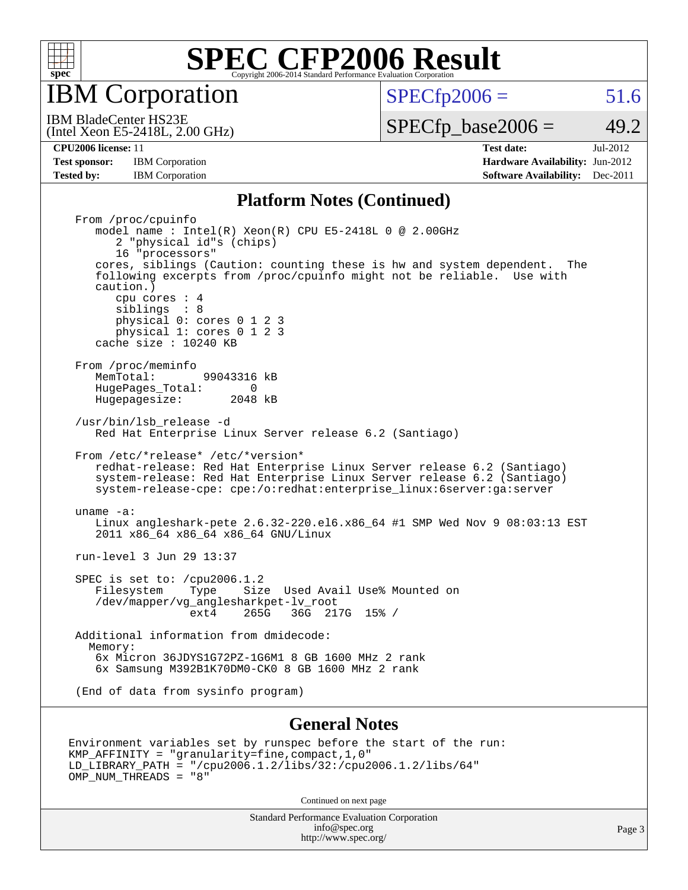

IBM Corporation

 $SPECTp2006 = 51.6$ 

(Intel Xeon E5-2418L, 2.00 GHz) IBM BladeCenter HS23E

 $SPECTp\_base2006 = 49.2$ 

**[Test sponsor:](http://www.spec.org/auto/cpu2006/Docs/result-fields.html#Testsponsor)** IBM Corporation **IBM** Corporation **[Hardware Availability:](http://www.spec.org/auto/cpu2006/Docs/result-fields.html#HardwareAvailability)** Jun-2012

**[CPU2006 license:](http://www.spec.org/auto/cpu2006/Docs/result-fields.html#CPU2006license)** 11 **[Test date:](http://www.spec.org/auto/cpu2006/Docs/result-fields.html#Testdate)** Jul-2012 **[Tested by:](http://www.spec.org/auto/cpu2006/Docs/result-fields.html#Testedby)** IBM Corporation **[Software Availability:](http://www.spec.org/auto/cpu2006/Docs/result-fields.html#SoftwareAvailability)** Dec-2011

#### **[Platform Notes \(Continued\)](http://www.spec.org/auto/cpu2006/Docs/result-fields.html#PlatformNotes)**

 From /proc/cpuinfo model name : Intel(R) Xeon(R) CPU E5-2418L 0 @ 2.00GHz 2 "physical id"s (chips) 16 "processors" cores, siblings (Caution: counting these is hw and system dependent. The following excerpts from /proc/cpuinfo might not be reliable. Use with caution.) cpu cores : 4 siblings : 8 physical 0: cores 0 1 2 3 physical 1: cores 0 1 2 3 cache size : 10240 KB From /proc/meminfo<br>MemTotal: 99043316 kB HugePages\_Total: 0<br>Hugepagesize: 2048 kB Hugepagesize: /usr/bin/lsb\_release -d Red Hat Enterprise Linux Server release 6.2 (Santiago) From /etc/\*release\* /etc/\*version\* redhat-release: Red Hat Enterprise Linux Server release 6.2 (Santiago) system-release: Red Hat Enterprise Linux Server release 6.2 (Santiago) system-release-cpe: cpe:/o:redhat:enterprise\_linux:6server:ga:server uname -a: Linux angleshark-pete 2.6.32-220.el6.x86\_64 #1 SMP Wed Nov 9 08:03:13 EST 2011 x86\_64 x86\_64 x86\_64 GNU/Linux run-level 3 Jun 29 13:37 SPEC is set to: /cpu2006.1.2<br>Filesystem Type Size Type Size Used Avail Use% Mounted on /dev/mapper/vg\_anglesharkpet-lv\_root ext4 265G 36G 217G 15% / Additional information from dmidecode: Memory: 6x Micron 36JDYS1G72PZ-1G6M1 8 GB 1600 MHz 2 rank 6x Samsung M392B1K70DM0-CK0 8 GB 1600 MHz 2 rank (End of data from sysinfo program)

#### **[General Notes](http://www.spec.org/auto/cpu2006/Docs/result-fields.html#GeneralNotes)**

```
Environment variables set by runspec before the start of the run:
KMP_AFFINITY = "granularity=fine,compact,1,0"
LD_LIBRARY_PATH = "/cpu2006.1.2/libs/32:/cpu2006.1.2/libs/64"
OMP_NUM_THREADS = "8"
```
Continued on next page

Standard Performance Evaluation Corporation [info@spec.org](mailto:info@spec.org) <http://www.spec.org/>

Page 3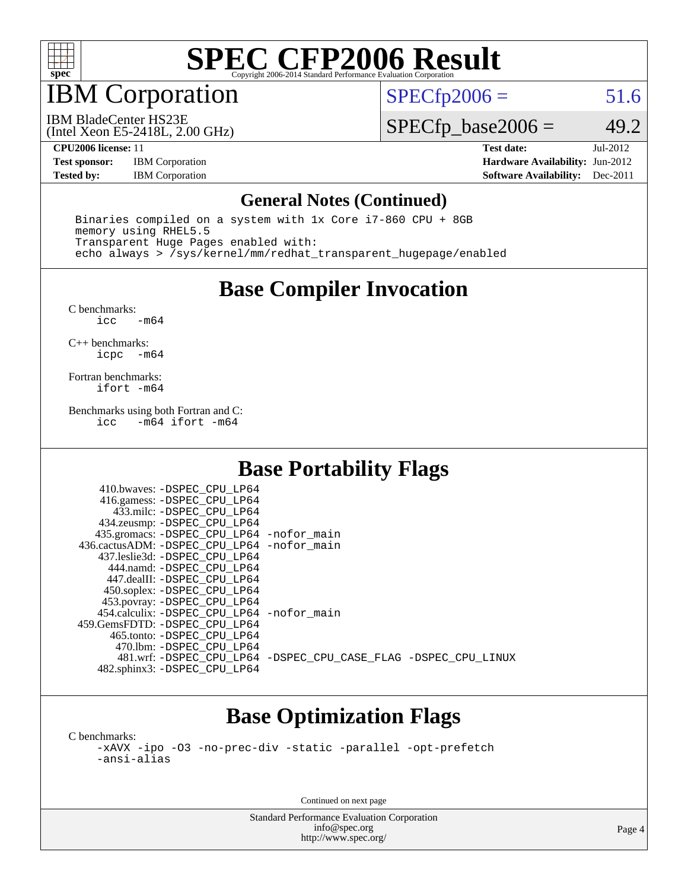

## IBM Corporation

 $SPECTp2006 = 51.6$ 

(Intel Xeon E5-2418L, 2.00 GHz) IBM BladeCenter HS23E

 $SPECfp\_base2006 = 49.2$ 

**[Test sponsor:](http://www.spec.org/auto/cpu2006/Docs/result-fields.html#Testsponsor)** IBM Corporation **[Hardware Availability:](http://www.spec.org/auto/cpu2006/Docs/result-fields.html#HardwareAvailability)** Jun-2012

**[CPU2006 license:](http://www.spec.org/auto/cpu2006/Docs/result-fields.html#CPU2006license)** 11 **[Test date:](http://www.spec.org/auto/cpu2006/Docs/result-fields.html#Testdate)** Jul-2012 **[Tested by:](http://www.spec.org/auto/cpu2006/Docs/result-fields.html#Testedby)** IBM Corporation **[Software Availability:](http://www.spec.org/auto/cpu2006/Docs/result-fields.html#SoftwareAvailability)** Dec-2011

#### **[General Notes \(Continued\)](http://www.spec.org/auto/cpu2006/Docs/result-fields.html#GeneralNotes)**

 Binaries compiled on a system with 1x Core i7-860 CPU + 8GB memory using RHEL5.5 Transparent Huge Pages enabled with: echo always > /sys/kernel/mm/redhat\_transparent\_hugepage/enabled

### **[Base Compiler Invocation](http://www.spec.org/auto/cpu2006/Docs/result-fields.html#BaseCompilerInvocation)**

[C benchmarks](http://www.spec.org/auto/cpu2006/Docs/result-fields.html#Cbenchmarks):  $-m64$ 

[C++ benchmarks:](http://www.spec.org/auto/cpu2006/Docs/result-fields.html#CXXbenchmarks) [icpc -m64](http://www.spec.org/cpu2006/results/res2012q3/cpu2006-20120702-23341.flags.html#user_CXXbase_intel_icpc_64bit_bedb90c1146cab66620883ef4f41a67e)

[Fortran benchmarks](http://www.spec.org/auto/cpu2006/Docs/result-fields.html#Fortranbenchmarks): [ifort -m64](http://www.spec.org/cpu2006/results/res2012q3/cpu2006-20120702-23341.flags.html#user_FCbase_intel_ifort_64bit_ee9d0fb25645d0210d97eb0527dcc06e)

[Benchmarks using both Fortran and C](http://www.spec.org/auto/cpu2006/Docs/result-fields.html#BenchmarksusingbothFortranandC):<br>icc -m64 ifort -m64  $-m64$  ifort  $-m64$ 

### **[Base Portability Flags](http://www.spec.org/auto/cpu2006/Docs/result-fields.html#BasePortabilityFlags)**

| 410.bwaves: -DSPEC CPU LP64                  |                                                                |
|----------------------------------------------|----------------------------------------------------------------|
| 416.gamess: - DSPEC_CPU_LP64                 |                                                                |
| 433.milc: -DSPEC CPU LP64                    |                                                                |
| 434.zeusmp: -DSPEC_CPU_LP64                  |                                                                |
| 435.gromacs: -DSPEC_CPU_LP64 -nofor_main     |                                                                |
| 436.cactusADM: - DSPEC CPU LP64 - nofor main |                                                                |
| 437.leslie3d: -DSPEC CPU LP64                |                                                                |
| 444.namd: - DSPEC_CPU LP64                   |                                                                |
| 447.dealII: -DSPEC_CPU LP64                  |                                                                |
| 450.soplex: -DSPEC_CPU_LP64                  |                                                                |
| 453.povray: -DSPEC_CPU_LP64                  |                                                                |
| 454.calculix: -DSPEC CPU LP64 -nofor main    |                                                                |
| 459. GemsFDTD: - DSPEC CPU LP64              |                                                                |
| 465.tonto: - DSPEC CPU LP64                  |                                                                |
| 470.1bm: - DSPEC CPU LP64                    |                                                                |
|                                              | 481.wrf: -DSPEC CPU_LP64 -DSPEC_CPU_CASE_FLAG -DSPEC_CPU_LINUX |
| 482.sphinx3: -DSPEC_CPU_LP64                 |                                                                |

### **[Base Optimization Flags](http://www.spec.org/auto/cpu2006/Docs/result-fields.html#BaseOptimizationFlags)**

[C benchmarks](http://www.spec.org/auto/cpu2006/Docs/result-fields.html#Cbenchmarks): [-xAVX](http://www.spec.org/cpu2006/results/res2012q3/cpu2006-20120702-23341.flags.html#user_CCbase_f-xAVX) [-ipo](http://www.spec.org/cpu2006/results/res2012q3/cpu2006-20120702-23341.flags.html#user_CCbase_f-ipo) [-O3](http://www.spec.org/cpu2006/results/res2012q3/cpu2006-20120702-23341.flags.html#user_CCbase_f-O3) [-no-prec-div](http://www.spec.org/cpu2006/results/res2012q3/cpu2006-20120702-23341.flags.html#user_CCbase_f-no-prec-div) [-static](http://www.spec.org/cpu2006/results/res2012q3/cpu2006-20120702-23341.flags.html#user_CCbase_f-static) [-parallel](http://www.spec.org/cpu2006/results/res2012q3/cpu2006-20120702-23341.flags.html#user_CCbase_f-parallel) [-opt-prefetch](http://www.spec.org/cpu2006/results/res2012q3/cpu2006-20120702-23341.flags.html#user_CCbase_f-opt-prefetch) [-ansi-alias](http://www.spec.org/cpu2006/results/res2012q3/cpu2006-20120702-23341.flags.html#user_CCbase_f-ansi-alias)

Continued on next page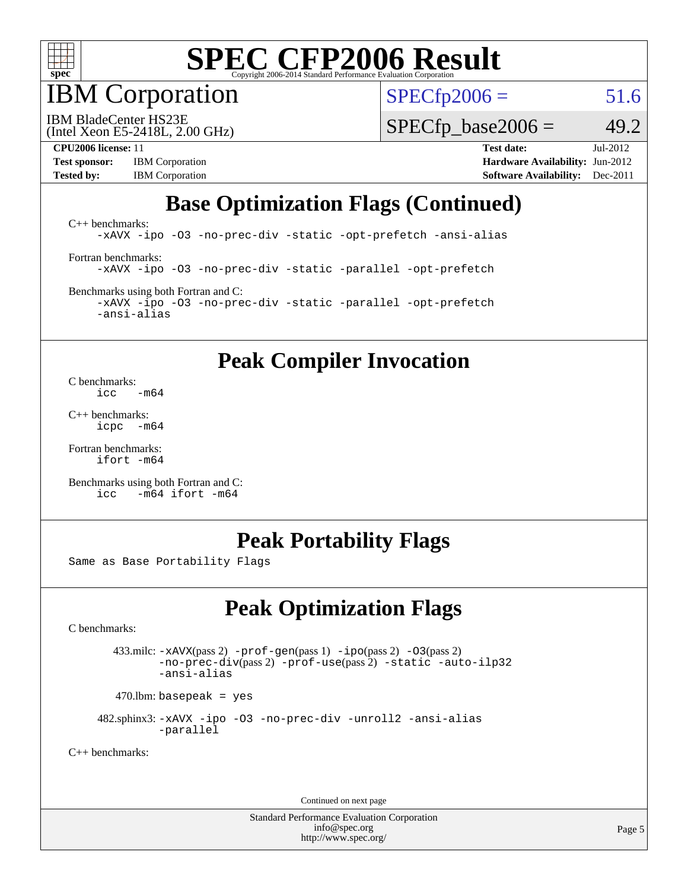

IBM Corporation

 $SPECfp2006 = 51.6$  $SPECfp2006 = 51.6$ 

(Intel Xeon E5-2418L, 2.00 GHz) IBM BladeCenter HS23E

 $SPECTp\_base2006 = 49.2$ 

**[Test sponsor:](http://www.spec.org/auto/cpu2006/Docs/result-fields.html#Testsponsor)** IBM Corporation **[Hardware Availability:](http://www.spec.org/auto/cpu2006/Docs/result-fields.html#HardwareAvailability)** Jun-2012

**[CPU2006 license:](http://www.spec.org/auto/cpu2006/Docs/result-fields.html#CPU2006license)** 11 **[Test date:](http://www.spec.org/auto/cpu2006/Docs/result-fields.html#Testdate)** Jul-2012 **[Tested by:](http://www.spec.org/auto/cpu2006/Docs/result-fields.html#Testedby)** IBM Corporation **[Software Availability:](http://www.spec.org/auto/cpu2006/Docs/result-fields.html#SoftwareAvailability)** Dec-2011

### **[Base Optimization Flags \(Continued\)](http://www.spec.org/auto/cpu2006/Docs/result-fields.html#BaseOptimizationFlags)**

[C++ benchmarks:](http://www.spec.org/auto/cpu2006/Docs/result-fields.html#CXXbenchmarks) [-xAVX](http://www.spec.org/cpu2006/results/res2012q3/cpu2006-20120702-23341.flags.html#user_CXXbase_f-xAVX) [-ipo](http://www.spec.org/cpu2006/results/res2012q3/cpu2006-20120702-23341.flags.html#user_CXXbase_f-ipo) [-O3](http://www.spec.org/cpu2006/results/res2012q3/cpu2006-20120702-23341.flags.html#user_CXXbase_f-O3) [-no-prec-div](http://www.spec.org/cpu2006/results/res2012q3/cpu2006-20120702-23341.flags.html#user_CXXbase_f-no-prec-div) [-static](http://www.spec.org/cpu2006/results/res2012q3/cpu2006-20120702-23341.flags.html#user_CXXbase_f-static) [-opt-prefetch](http://www.spec.org/cpu2006/results/res2012q3/cpu2006-20120702-23341.flags.html#user_CXXbase_f-opt-prefetch) [-ansi-alias](http://www.spec.org/cpu2006/results/res2012q3/cpu2006-20120702-23341.flags.html#user_CXXbase_f-ansi-alias) [Fortran benchmarks](http://www.spec.org/auto/cpu2006/Docs/result-fields.html#Fortranbenchmarks): [-xAVX](http://www.spec.org/cpu2006/results/res2012q3/cpu2006-20120702-23341.flags.html#user_FCbase_f-xAVX) [-ipo](http://www.spec.org/cpu2006/results/res2012q3/cpu2006-20120702-23341.flags.html#user_FCbase_f-ipo) [-O3](http://www.spec.org/cpu2006/results/res2012q3/cpu2006-20120702-23341.flags.html#user_FCbase_f-O3) [-no-prec-div](http://www.spec.org/cpu2006/results/res2012q3/cpu2006-20120702-23341.flags.html#user_FCbase_f-no-prec-div) [-static](http://www.spec.org/cpu2006/results/res2012q3/cpu2006-20120702-23341.flags.html#user_FCbase_f-static) [-parallel](http://www.spec.org/cpu2006/results/res2012q3/cpu2006-20120702-23341.flags.html#user_FCbase_f-parallel) [-opt-prefetch](http://www.spec.org/cpu2006/results/res2012q3/cpu2006-20120702-23341.flags.html#user_FCbase_f-opt-prefetch) [Benchmarks using both Fortran and C](http://www.spec.org/auto/cpu2006/Docs/result-fields.html#BenchmarksusingbothFortranandC):

[-xAVX](http://www.spec.org/cpu2006/results/res2012q3/cpu2006-20120702-23341.flags.html#user_CC_FCbase_f-xAVX) [-ipo](http://www.spec.org/cpu2006/results/res2012q3/cpu2006-20120702-23341.flags.html#user_CC_FCbase_f-ipo) [-O3](http://www.spec.org/cpu2006/results/res2012q3/cpu2006-20120702-23341.flags.html#user_CC_FCbase_f-O3) [-no-prec-div](http://www.spec.org/cpu2006/results/res2012q3/cpu2006-20120702-23341.flags.html#user_CC_FCbase_f-no-prec-div) [-static](http://www.spec.org/cpu2006/results/res2012q3/cpu2006-20120702-23341.flags.html#user_CC_FCbase_f-static) [-parallel](http://www.spec.org/cpu2006/results/res2012q3/cpu2006-20120702-23341.flags.html#user_CC_FCbase_f-parallel) [-opt-prefetch](http://www.spec.org/cpu2006/results/res2012q3/cpu2006-20120702-23341.flags.html#user_CC_FCbase_f-opt-prefetch) [-ansi-alias](http://www.spec.org/cpu2006/results/res2012q3/cpu2006-20120702-23341.flags.html#user_CC_FCbase_f-ansi-alias)

#### **[Peak Compiler Invocation](http://www.spec.org/auto/cpu2006/Docs/result-fields.html#PeakCompilerInvocation)**

[C benchmarks](http://www.spec.org/auto/cpu2006/Docs/result-fields.html#Cbenchmarks):  $\frac{1}{2}$ cc  $-\text{m64}$ 

[C++ benchmarks:](http://www.spec.org/auto/cpu2006/Docs/result-fields.html#CXXbenchmarks) [icpc -m64](http://www.spec.org/cpu2006/results/res2012q3/cpu2006-20120702-23341.flags.html#user_CXXpeak_intel_icpc_64bit_bedb90c1146cab66620883ef4f41a67e)

[Fortran benchmarks](http://www.spec.org/auto/cpu2006/Docs/result-fields.html#Fortranbenchmarks): [ifort -m64](http://www.spec.org/cpu2006/results/res2012q3/cpu2006-20120702-23341.flags.html#user_FCpeak_intel_ifort_64bit_ee9d0fb25645d0210d97eb0527dcc06e)

[Benchmarks using both Fortran and C](http://www.spec.org/auto/cpu2006/Docs/result-fields.html#BenchmarksusingbothFortranandC): [icc -m64](http://www.spec.org/cpu2006/results/res2012q3/cpu2006-20120702-23341.flags.html#user_CC_FCpeak_intel_icc_64bit_0b7121f5ab7cfabee23d88897260401c) [ifort -m64](http://www.spec.org/cpu2006/results/res2012q3/cpu2006-20120702-23341.flags.html#user_CC_FCpeak_intel_ifort_64bit_ee9d0fb25645d0210d97eb0527dcc06e)

#### **[Peak Portability Flags](http://www.spec.org/auto/cpu2006/Docs/result-fields.html#PeakPortabilityFlags)**

Same as Base Portability Flags

### **[Peak Optimization Flags](http://www.spec.org/auto/cpu2006/Docs/result-fields.html#PeakOptimizationFlags)**

[C benchmarks](http://www.spec.org/auto/cpu2006/Docs/result-fields.html#Cbenchmarks):

 433.milc: [-xAVX](http://www.spec.org/cpu2006/results/res2012q3/cpu2006-20120702-23341.flags.html#user_peakPASS2_CFLAGSPASS2_LDFLAGS433_milc_f-xAVX)(pass 2) [-prof-gen](http://www.spec.org/cpu2006/results/res2012q3/cpu2006-20120702-23341.flags.html#user_peakPASS1_CFLAGSPASS1_LDFLAGS433_milc_prof_gen_e43856698f6ca7b7e442dfd80e94a8fc)(pass 1) [-ipo](http://www.spec.org/cpu2006/results/res2012q3/cpu2006-20120702-23341.flags.html#user_peakPASS2_CFLAGSPASS2_LDFLAGS433_milc_f-ipo)(pass 2) [-O3](http://www.spec.org/cpu2006/results/res2012q3/cpu2006-20120702-23341.flags.html#user_peakPASS2_CFLAGSPASS2_LDFLAGS433_milc_f-O3)(pass 2) [-no-prec-div](http://www.spec.org/cpu2006/results/res2012q3/cpu2006-20120702-23341.flags.html#user_peakPASS2_CFLAGSPASS2_LDFLAGS433_milc_f-no-prec-div)(pass 2) [-prof-use](http://www.spec.org/cpu2006/results/res2012q3/cpu2006-20120702-23341.flags.html#user_peakPASS2_CFLAGSPASS2_LDFLAGS433_milc_prof_use_bccf7792157ff70d64e32fe3e1250b55)(pass 2) [-static](http://www.spec.org/cpu2006/results/res2012q3/cpu2006-20120702-23341.flags.html#user_peakOPTIMIZE433_milc_f-static) [-auto-ilp32](http://www.spec.org/cpu2006/results/res2012q3/cpu2006-20120702-23341.flags.html#user_peakCOPTIMIZE433_milc_f-auto-ilp32) [-ansi-alias](http://www.spec.org/cpu2006/results/res2012q3/cpu2006-20120702-23341.flags.html#user_peakCOPTIMIZE433_milc_f-ansi-alias)

 $470.$ lbm: basepeak = yes

 482.sphinx3: [-xAVX](http://www.spec.org/cpu2006/results/res2012q3/cpu2006-20120702-23341.flags.html#user_peakOPTIMIZE482_sphinx3_f-xAVX) [-ipo](http://www.spec.org/cpu2006/results/res2012q3/cpu2006-20120702-23341.flags.html#user_peakOPTIMIZE482_sphinx3_f-ipo) [-O3](http://www.spec.org/cpu2006/results/res2012q3/cpu2006-20120702-23341.flags.html#user_peakOPTIMIZE482_sphinx3_f-O3) [-no-prec-div](http://www.spec.org/cpu2006/results/res2012q3/cpu2006-20120702-23341.flags.html#user_peakOPTIMIZE482_sphinx3_f-no-prec-div) [-unroll2](http://www.spec.org/cpu2006/results/res2012q3/cpu2006-20120702-23341.flags.html#user_peakCOPTIMIZE482_sphinx3_f-unroll_784dae83bebfb236979b41d2422d7ec2) [-ansi-alias](http://www.spec.org/cpu2006/results/res2012q3/cpu2006-20120702-23341.flags.html#user_peakCOPTIMIZE482_sphinx3_f-ansi-alias) [-parallel](http://www.spec.org/cpu2006/results/res2012q3/cpu2006-20120702-23341.flags.html#user_peakCOPTIMIZE482_sphinx3_f-parallel)

[C++ benchmarks:](http://www.spec.org/auto/cpu2006/Docs/result-fields.html#CXXbenchmarks)

Continued on next page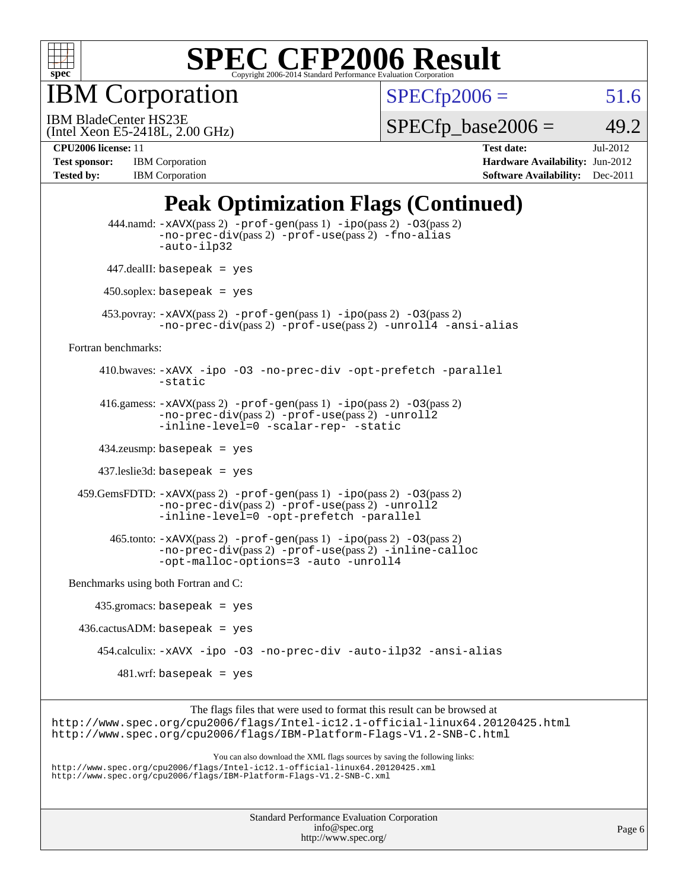

IBM Corporation

 $SPECfp2006 = 51.6$  $SPECfp2006 = 51.6$ 

(Intel Xeon E5-2418L, 2.00 GHz) IBM BladeCenter HS23E

 $SPECTp\_base2006 = 49.2$ 

**[Tested by:](http://www.spec.org/auto/cpu2006/Docs/result-fields.html#Testedby)** IBM Corporation **[Software Availability:](http://www.spec.org/auto/cpu2006/Docs/result-fields.html#SoftwareAvailability)** Dec-2011

**[CPU2006 license:](http://www.spec.org/auto/cpu2006/Docs/result-fields.html#CPU2006license)** 11 **[Test date:](http://www.spec.org/auto/cpu2006/Docs/result-fields.html#Testdate)** Jul-2012 **[Test sponsor:](http://www.spec.org/auto/cpu2006/Docs/result-fields.html#Testsponsor)** IBM Corporation **[Hardware Availability:](http://www.spec.org/auto/cpu2006/Docs/result-fields.html#HardwareAvailability)** Jun-2012

### **[Peak Optimization Flags \(Continued\)](http://www.spec.org/auto/cpu2006/Docs/result-fields.html#PeakOptimizationFlags)**

|                                      | 444.namd: -xAVX(pass 2) -prof-gen(pass 1) -ipo(pass 2) -03(pass 2)<br>$-no\text{-}prec\text{-}div(pass 2)$ $-prof\text{-}use(pass 2)$ $-fno\text{-}alias$<br>-auto-ilp32                                                                                                                                      |
|--------------------------------------|---------------------------------------------------------------------------------------------------------------------------------------------------------------------------------------------------------------------------------------------------------------------------------------------------------------|
|                                      | $447$ .dealII: basepeak = yes                                                                                                                                                                                                                                                                                 |
|                                      | $450$ .soplex: basepeak = yes                                                                                                                                                                                                                                                                                 |
|                                      | 453.povray: -xAVX(pass 2) -prof-gen(pass 1) -ipo(pass 2) -03(pass 2)<br>-no-prec-div(pass 2) -prof-use(pass 2) -unroll4 -ansi-alias                                                                                                                                                                           |
| Fortran benchmarks:                  |                                                                                                                                                                                                                                                                                                               |
|                                      | 410.bwaves: -xAVX -ipo -03 -no-prec-div -opt-prefetch -parallel<br>-static                                                                                                                                                                                                                                    |
|                                      | 416.gamess: $-x$ AVX(pass 2) $-prof-gen(pass 1) -ipo(pass 2) -O3(pass 2)$<br>-no-prec-div(pass 2) -prof-use(pass 2) -unroll2<br>-inline-level=0 -scalar-rep- -static                                                                                                                                          |
|                                      | $434$ .zeusmp: basepeak = yes                                                                                                                                                                                                                                                                                 |
|                                      | $437$ .leslie3d: basepeak = yes                                                                                                                                                                                                                                                                               |
|                                      | $459.GemsFDTD: -xAVX(pass 2) -prof-gen(pass 1) -ipo(pass 2) -O3(pass 2)$<br>$-no\text{-prec-div}(pass 2)$ -prof-use(pass 2) -unroll2<br>-inline-level=0 -opt-prefetch -parallel                                                                                                                               |
|                                      | $465$ .tonto: $-xAVX(pass 2)$ -prof-gen(pass 1) -ipo(pass 2) -03(pass 2)<br>-no-prec-div(pass 2) -prof-use(pass 2) -inline-calloc<br>-opt-malloc-options=3 -auto -unroll4                                                                                                                                     |
| Benchmarks using both Fortran and C: |                                                                                                                                                                                                                                                                                                               |
|                                      | $435.gromacs: basepeak = yes$                                                                                                                                                                                                                                                                                 |
|                                      | $436.cactusADM:basepeak = yes$                                                                                                                                                                                                                                                                                |
|                                      | 454.calculix: -xAVX -ipo -03 -no-prec-div -auto-ilp32 -ansi-alias                                                                                                                                                                                                                                             |
|                                      | $481.wrf$ : basepeak = yes                                                                                                                                                                                                                                                                                    |
|                                      | The flags files that were used to format this result can be browsed at<br>http://www.spec.org/cpu2006/flags/Intel-ic12.1-official-linux64.20120425.html<br>http://www.spec.org/cpu2006/flags/IBM-Platform-Flags-V1.2-SNB-C.html<br>You can also download the XML flags sources by saving the following links: |
|                                      | http://www.spec.org/cpu2006/flags/Intel-icl2.1-official-linux64.20120425.xml<br>http://www.spec.org/cpu2006/flags/IBM-Platform-Flags-V1.2-SNB-C.xml                                                                                                                                                           |